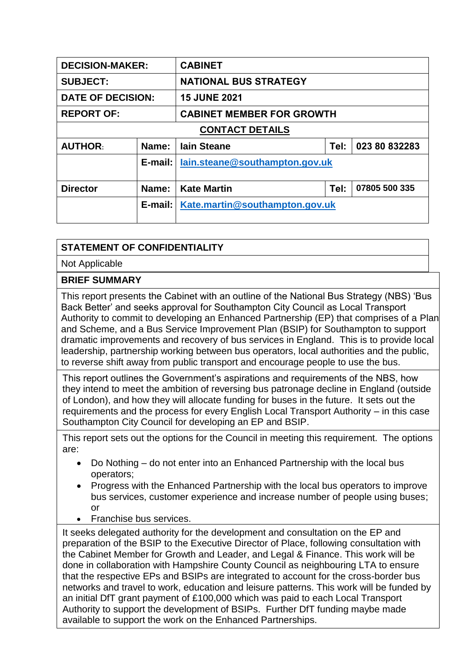| <b>DECISION-MAKER:</b>   |         | <b>CABINET</b>                                  |      |               |
|--------------------------|---------|-------------------------------------------------|------|---------------|
| <b>SUBJECT:</b>          |         | <b>NATIONAL BUS STRATEGY</b>                    |      |               |
| <b>DATE OF DECISION:</b> |         | <b>15 JUNE 2021</b>                             |      |               |
| <b>REPORT OF:</b>        |         | <b>CABINET MEMBER FOR GROWTH</b>                |      |               |
| <b>CONTACT DETAILS</b>   |         |                                                 |      |               |
| <b>AUTHOR:</b>           | Name:   | <b>lain Steane</b>                              | Tel: | 023 80 832283 |
|                          | E-mail: | lain.steane@southampton.gov.uk                  |      |               |
|                          |         |                                                 |      |               |
| <b>Director</b>          | Name:   | <b>Kate Martin</b>                              | Tel: | 07805 500 335 |
|                          |         | <b>E-mail:   Kate.martin@southampton.gov.uk</b> |      |               |

## **STATEMENT OF CONFIDENTIALITY**

Not Applicable

## **BRIEF SUMMARY**

This report presents the Cabinet with an outline of the National Bus Strategy (NBS) 'Bus Back Better' and seeks approval for Southampton City Council as Local Transport Authority to commit to developing an Enhanced Partnership (EP) that comprises of a Plan and Scheme, and a Bus Service Improvement Plan (BSIP) for Southampton to support dramatic improvements and recovery of bus services in England. This is to provide local leadership, partnership working between bus operators, local authorities and the public, to reverse shift away from public transport and encourage people to use the bus.

This report outlines the Government's aspirations and requirements of the NBS, how they intend to meet the ambition of reversing bus patronage decline in England (outside of London), and how they will allocate funding for buses in the future. It sets out the requirements and the process for every English Local Transport Authority – in this case Southampton City Council for developing an EP and BSIP.

This report sets out the options for the Council in meeting this requirement. The options are:

- Do Nothing do not enter into an Enhanced Partnership with the local bus operators;
- Progress with the Enhanced Partnership with the local bus operators to improve bus services, customer experience and increase number of people using buses; or
- Franchise bus services.

It seeks delegated authority for the development and consultation on the EP and preparation of the BSIP to the Executive Director of Place, following consultation with the Cabinet Member for Growth and Leader, and Legal & Finance. This work will be done in collaboration with Hampshire County Council as neighbouring LTA to ensure that the respective EPs and BSIPs are integrated to account for the cross-border bus networks and travel to work, education and leisure patterns. This work will be funded by an initial DfT grant payment of £100,000 which was paid to each Local Transport Authority to support the development of BSIPs. Further DfT funding maybe made available to support the work on the Enhanced Partnerships.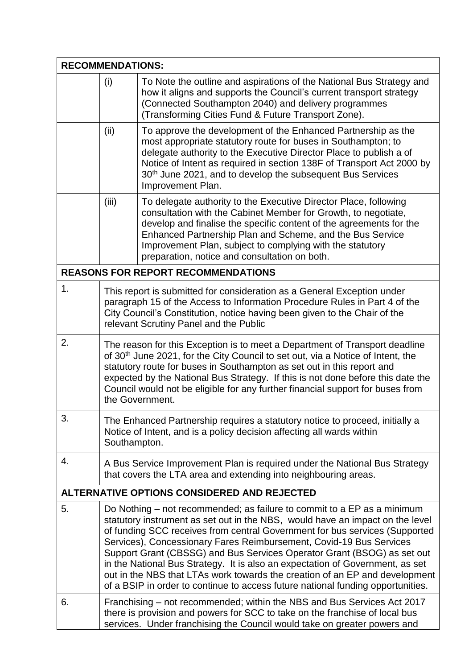| <b>RECOMMENDATIONS:</b> |                                                                                                                                                                                                                                                                                                                                                                                                                                              |                                                                                                                                                                                                                                                                                                                                                                                                                                                                                                                                                                                                                                              |
|-------------------------|----------------------------------------------------------------------------------------------------------------------------------------------------------------------------------------------------------------------------------------------------------------------------------------------------------------------------------------------------------------------------------------------------------------------------------------------|----------------------------------------------------------------------------------------------------------------------------------------------------------------------------------------------------------------------------------------------------------------------------------------------------------------------------------------------------------------------------------------------------------------------------------------------------------------------------------------------------------------------------------------------------------------------------------------------------------------------------------------------|
|                         | (i)                                                                                                                                                                                                                                                                                                                                                                                                                                          | To Note the outline and aspirations of the National Bus Strategy and<br>how it aligns and supports the Council's current transport strategy<br>(Connected Southampton 2040) and delivery programmes<br>(Transforming Cities Fund & Future Transport Zone).                                                                                                                                                                                                                                                                                                                                                                                   |
|                         | (ii)                                                                                                                                                                                                                                                                                                                                                                                                                                         | To approve the development of the Enhanced Partnership as the<br>most appropriate statutory route for buses in Southampton; to<br>delegate authority to the Executive Director Place to publish a of<br>Notice of Intent as required in section 138F of Transport Act 2000 by<br>30 <sup>th</sup> June 2021, and to develop the subsequent Bus Services<br>Improvement Plan.                                                                                                                                                                                                                                                                 |
|                         | (iii)                                                                                                                                                                                                                                                                                                                                                                                                                                        | To delegate authority to the Executive Director Place, following<br>consultation with the Cabinet Member for Growth, to negotiate,<br>develop and finalise the specific content of the agreements for the<br>Enhanced Partnership Plan and Scheme, and the Bus Service<br>Improvement Plan, subject to complying with the statutory<br>preparation, notice and consultation on both.                                                                                                                                                                                                                                                         |
|                         |                                                                                                                                                                                                                                                                                                                                                                                                                                              | <b>REASONS FOR REPORT RECOMMENDATIONS</b>                                                                                                                                                                                                                                                                                                                                                                                                                                                                                                                                                                                                    |
| 1.                      |                                                                                                                                                                                                                                                                                                                                                                                                                                              | This report is submitted for consideration as a General Exception under<br>paragraph 15 of the Access to Information Procedure Rules in Part 4 of the<br>City Council's Constitution, notice having been given to the Chair of the<br>relevant Scrutiny Panel and the Public                                                                                                                                                                                                                                                                                                                                                                 |
| 2.                      | The reason for this Exception is to meet a Department of Transport deadline<br>of 30 <sup>th</sup> June 2021, for the City Council to set out, via a Notice of Intent, the<br>statutory route for buses in Southampton as set out in this report and<br>expected by the National Bus Strategy. If this is not done before this date the<br>Council would not be eligible for any further financial support for buses from<br>the Government. |                                                                                                                                                                                                                                                                                                                                                                                                                                                                                                                                                                                                                                              |
| 3.                      | The Enhanced Partnership requires a statutory notice to proceed, initially a<br>Notice of Intent, and is a policy decision affecting all wards within<br>Southampton.                                                                                                                                                                                                                                                                        |                                                                                                                                                                                                                                                                                                                                                                                                                                                                                                                                                                                                                                              |
| 4.                      |                                                                                                                                                                                                                                                                                                                                                                                                                                              | A Bus Service Improvement Plan is required under the National Bus Strategy<br>that covers the LTA area and extending into neighbouring areas.                                                                                                                                                                                                                                                                                                                                                                                                                                                                                                |
|                         |                                                                                                                                                                                                                                                                                                                                                                                                                                              | ALTERNATIVE OPTIONS CONSIDERED AND REJECTED                                                                                                                                                                                                                                                                                                                                                                                                                                                                                                                                                                                                  |
| 5.                      |                                                                                                                                                                                                                                                                                                                                                                                                                                              | Do Nothing – not recommended; as failure to commit to a EP as a minimum<br>statutory instrument as set out in the NBS, would have an impact on the level<br>of funding SCC receives from central Government for bus services (Supported<br>Services), Concessionary Fares Reimbursement, Covid-19 Bus Services<br>Support Grant (CBSSG) and Bus Services Operator Grant (BSOG) as set out<br>in the National Bus Strategy. It is also an expectation of Government, as set<br>out in the NBS that LTAs work towards the creation of an EP and development<br>of a BSIP in order to continue to access future national funding opportunities. |
| 6.                      | Franchising – not recommended; within the NBS and Bus Services Act 2017<br>there is provision and powers for SCC to take on the franchise of local bus<br>services. Under franchising the Council would take on greater powers and                                                                                                                                                                                                           |                                                                                                                                                                                                                                                                                                                                                                                                                                                                                                                                                                                                                                              |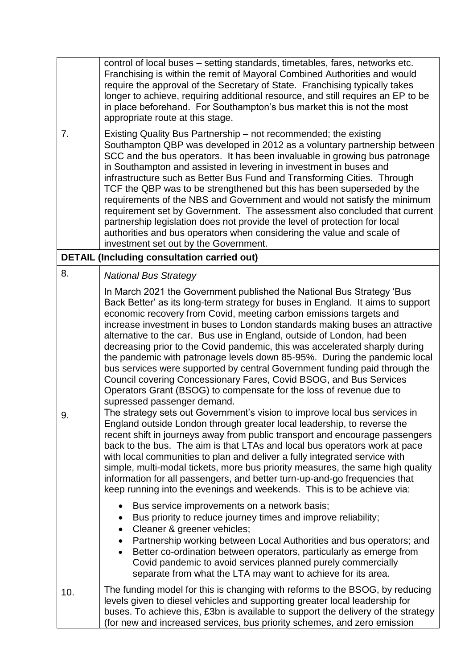|     | control of local buses – setting standards, timetables, fares, networks etc.<br>Franchising is within the remit of Mayoral Combined Authorities and would<br>require the approval of the Secretary of State. Franchising typically takes<br>longer to achieve, requiring additional resource, and still requires an EP to be<br>in place beforehand. For Southampton's bus market this is not the most<br>appropriate route at this stage.                                                                                                                                                                                                                                                                                                                                                                                                                                                                                                                                                                                                                                                                                      |
|-----|---------------------------------------------------------------------------------------------------------------------------------------------------------------------------------------------------------------------------------------------------------------------------------------------------------------------------------------------------------------------------------------------------------------------------------------------------------------------------------------------------------------------------------------------------------------------------------------------------------------------------------------------------------------------------------------------------------------------------------------------------------------------------------------------------------------------------------------------------------------------------------------------------------------------------------------------------------------------------------------------------------------------------------------------------------------------------------------------------------------------------------|
| 7.  | Existing Quality Bus Partnership – not recommended; the existing<br>Southampton QBP was developed in 2012 as a voluntary partnership between<br>SCC and the bus operators. It has been invaluable in growing bus patronage<br>in Southampton and assisted in levering in investment in buses and<br>infrastructure such as Better Bus Fund and Transforming Cities. Through<br>TCF the QBP was to be strengthened but this has been superseded by the<br>requirements of the NBS and Government and would not satisfy the minimum<br>requirement set by Government. The assessment also concluded that current<br>partnership legislation does not provide the level of protection for local<br>authorities and bus operators when considering the value and scale of<br>investment set out by the Government.                                                                                                                                                                                                                                                                                                                  |
|     | <b>DETAIL (Including consultation carried out)</b>                                                                                                                                                                                                                                                                                                                                                                                                                                                                                                                                                                                                                                                                                                                                                                                                                                                                                                                                                                                                                                                                              |
| 8.  | <b>National Bus Strategy</b><br>In March 2021 the Government published the National Bus Strategy 'Bus<br>Back Better' as its long-term strategy for buses in England. It aims to support<br>economic recovery from Covid, meeting carbon emissions targets and<br>increase investment in buses to London standards making buses an attractive<br>alternative to the car. Bus use in England, outside of London, had been<br>decreasing prior to the Covid pandemic, this was accelerated sharply during<br>the pandemic with patronage levels down 85-95%. During the pandemic local<br>bus services were supported by central Government funding paid through the<br>Council covering Concessionary Fares, Covid BSOG, and Bus Services<br>Operators Grant (BSOG) to compensate for the loss of revenue due to<br>supressed passenger demand.                                                                                                                                                                                                                                                                                  |
| 9.  | The strategy sets out Government's vision to improve local bus services in<br>England outside London through greater local leadership, to reverse the<br>recent shift in journeys away from public transport and encourage passengers<br>back to the bus. The aim is that LTAs and local bus operators work at pace<br>with local communities to plan and deliver a fully integrated service with<br>simple, multi-modal tickets, more bus priority measures, the same high quality<br>information for all passengers, and better turn-up-and-go frequencies that<br>keep running into the evenings and weekends. This is to be achieve via:<br>Bus service improvements on a network basis;<br>$\bullet$<br>Bus priority to reduce journey times and improve reliability;<br>Cleaner & greener vehicles;<br>$\bullet$<br>Partnership working between Local Authorities and bus operators; and<br>$\bullet$<br>Better co-ordination between operators, particularly as emerge from<br>$\bullet$<br>Covid pandemic to avoid services planned purely commercially<br>separate from what the LTA may want to achieve for its area. |
| 10. | The funding model for this is changing with reforms to the BSOG, by reducing<br>levels given to diesel vehicles and supporting greater local leadership for<br>buses. To achieve this, £3bn is available to support the delivery of the strategy<br>(for new and increased services, bus priority schemes, and zero emission                                                                                                                                                                                                                                                                                                                                                                                                                                                                                                                                                                                                                                                                                                                                                                                                    |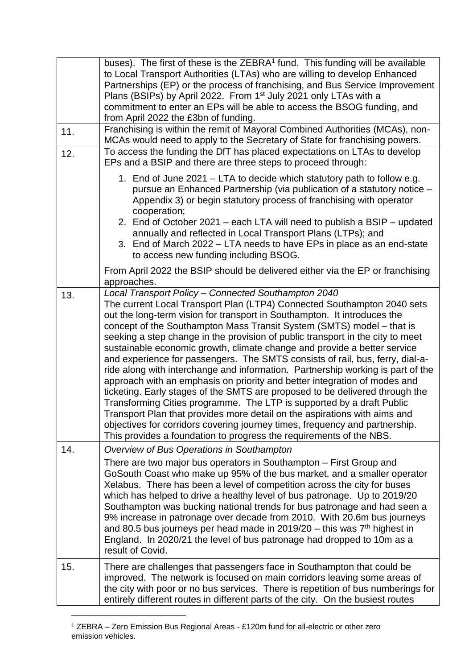|     | buses). The first of these is the ZEBRA <sup>1</sup> fund. This funding will be available<br>to Local Transport Authorities (LTAs) who are willing to develop Enhanced<br>Partnerships (EP) or the process of franchising, and Bus Service Improvement<br>Plans (BSIPs) by April 2022. From 1 <sup>st</sup> July 2021 only LTAs with a<br>commitment to enter an EPs will be able to access the BSOG funding, and<br>from April 2022 the £3bn of funding.                                                                                                                                                                                                                                                                                                                                                                                                                                                                                                                                                                                                                                      |
|-----|------------------------------------------------------------------------------------------------------------------------------------------------------------------------------------------------------------------------------------------------------------------------------------------------------------------------------------------------------------------------------------------------------------------------------------------------------------------------------------------------------------------------------------------------------------------------------------------------------------------------------------------------------------------------------------------------------------------------------------------------------------------------------------------------------------------------------------------------------------------------------------------------------------------------------------------------------------------------------------------------------------------------------------------------------------------------------------------------|
| 11. | Franchising is within the remit of Mayoral Combined Authorities (MCAs), non-<br>MCAs would need to apply to the Secretary of State for franchising powers.                                                                                                                                                                                                                                                                                                                                                                                                                                                                                                                                                                                                                                                                                                                                                                                                                                                                                                                                     |
| 12. | To access the funding the DfT has placed expectations on LTAs to develop<br>EPs and a BSIP and there are three steps to proceed through:                                                                                                                                                                                                                                                                                                                                                                                                                                                                                                                                                                                                                                                                                                                                                                                                                                                                                                                                                       |
|     | 1. End of June 2021 - LTA to decide which statutory path to follow e.g.<br>pursue an Enhanced Partnership (via publication of a statutory notice -<br>Appendix 3) or begin statutory process of franchising with operator<br>cooperation;<br>2. End of October 2021 – each LTA will need to publish a BSIP – updated<br>annually and reflected in Local Transport Plans (LTPs); and<br>3. End of March 2022 – LTA needs to have EPs in place as an end-state<br>to access new funding including BSOG.                                                                                                                                                                                                                                                                                                                                                                                                                                                                                                                                                                                          |
|     | From April 2022 the BSIP should be delivered either via the EP or franchising<br>approaches.                                                                                                                                                                                                                                                                                                                                                                                                                                                                                                                                                                                                                                                                                                                                                                                                                                                                                                                                                                                                   |
| 13. | Local Transport Policy - Connected Southampton 2040<br>The current Local Transport Plan (LTP4) Connected Southampton 2040 sets<br>out the long-term vision for transport in Southampton. It introduces the<br>concept of the Southampton Mass Transit System (SMTS) model - that is<br>seeking a step change in the provision of public transport in the city to meet<br>sustainable economic growth, climate change and provide a better service<br>and experience for passengers. The SMTS consists of rail, bus, ferry, dial-a-<br>ride along with interchange and information. Partnership working is part of the<br>approach with an emphasis on priority and better integration of modes and<br>ticketing. Early stages of the SMTS are proposed to be delivered through the<br>Transforming Cities programme. The LTP is supported by a draft Public<br>Transport Plan that provides more detail on the aspirations with aims and<br>objectives for corridors covering journey times, frequency and partnership.<br>This provides a foundation to progress the requirements of the NBS. |
| 14. | Overview of Bus Operations in Southampton                                                                                                                                                                                                                                                                                                                                                                                                                                                                                                                                                                                                                                                                                                                                                                                                                                                                                                                                                                                                                                                      |
|     | There are two major bus operators in Southampton - First Group and<br>GoSouth Coast who make up 95% of the bus market, and a smaller operator<br>Xelabus. There has been a level of competition across the city for buses<br>which has helped to drive a healthy level of bus patronage. Up to 2019/20<br>Southampton was bucking national trends for bus patronage and had seen a<br>9% increase in patronage over decade from 2010. With 20.6m bus journeys<br>and 80.5 bus journeys per head made in $2019/20$ – this was $7th$ highest in<br>England. In 2020/21 the level of bus patronage had dropped to 10m as a<br>result of Covid.                                                                                                                                                                                                                                                                                                                                                                                                                                                    |
| 15. | There are challenges that passengers face in Southampton that could be<br>improved. The network is focused on main corridors leaving some areas of<br>the city with poor or no bus services. There is repetition of bus numberings for<br>entirely different routes in different parts of the city. On the busiest routes                                                                                                                                                                                                                                                                                                                                                                                                                                                                                                                                                                                                                                                                                                                                                                      |

<sup>1</sup> ZEBRA – Zero Emission Bus Regional Areas - £120m fund for all-electric or other zero emission vehicles.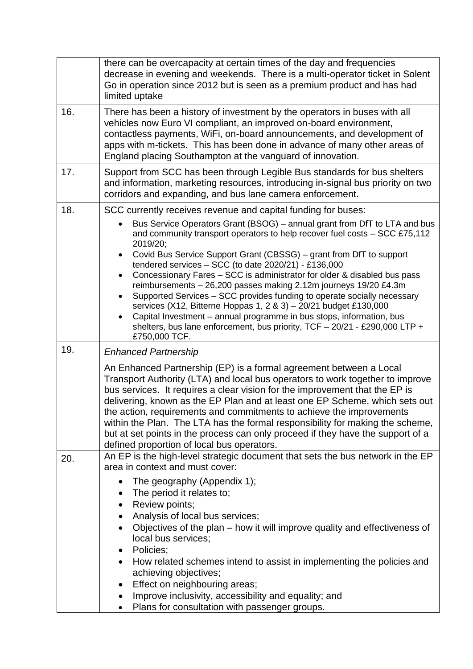| there can be overcapacity at certain times of the day and frequencies<br>decrease in evening and weekends. There is a multi-operator ticket in Solent<br>Go in operation since 2012 but is seen as a premium product and has had<br>limited uptake                                                                                                                                                                                                                                                                                                                                                                                                                                                                                                                                                                                                                                                      |
|---------------------------------------------------------------------------------------------------------------------------------------------------------------------------------------------------------------------------------------------------------------------------------------------------------------------------------------------------------------------------------------------------------------------------------------------------------------------------------------------------------------------------------------------------------------------------------------------------------------------------------------------------------------------------------------------------------------------------------------------------------------------------------------------------------------------------------------------------------------------------------------------------------|
| There has been a history of investment by the operators in buses with all<br>vehicles now Euro VI compliant, an improved on-board environment,<br>contactless payments, WiFi, on-board announcements, and development of<br>apps with m-tickets. This has been done in advance of many other areas of<br>England placing Southampton at the vanguard of innovation.                                                                                                                                                                                                                                                                                                                                                                                                                                                                                                                                     |
| Support from SCC has been through Legible Bus standards for bus shelters<br>and information, marketing resources, introducing in-signal bus priority on two<br>corridors and expanding, and bus lane camera enforcement.                                                                                                                                                                                                                                                                                                                                                                                                                                                                                                                                                                                                                                                                                |
| SCC currently receives revenue and capital funding for buses:<br>Bus Service Operators Grant (BSOG) – annual grant from DfT to LTA and bus<br>and community transport operators to help recover fuel costs - SCC £75,112<br>2019/20;<br>Covid Bus Service Support Grant (CBSSG) - grant from DfT to support<br>$\bullet$<br>tendered services $-$ SCC (to date 2020/21) - £136,000<br>Concessionary Fares - SCC is administrator for older & disabled bus pass<br>$\bullet$<br>reimbursements - 26,200 passes making 2.12m journeys 19/20 £4.3m<br>Supported Services - SCC provides funding to operate socially necessary<br>$\bullet$<br>services (X12, Bitterne Hoppas 1, 2 & 3) - 20/21 budget £130,000<br>Capital Investment - annual programme in bus stops, information, bus<br>$\bullet$<br>shelters, bus lane enforcement, bus priority, $TCF - 20/21 - \pounds290,000$ LTP +<br>£750,000 TCF. |
| <b>Enhanced Partnership</b><br>An Enhanced Partnership (EP) is a formal agreement between a Local<br>Transport Authority (LTA) and local bus operators to work together to improve<br>bus services. It requires a clear vision for the improvement that the EP is<br>delivering, known as the EP Plan and at least one EP Scheme, which sets out<br>the action, requirements and commitments to achieve the improvements<br>within the Plan. The LTA has the formal responsibility for making the scheme,<br>but at set points in the process can only proceed if they have the support of a<br>defined proportion of local bus operators.                                                                                                                                                                                                                                                              |
| An EP is the high-level strategic document that sets the bus network in the EP<br>area in context and must cover:<br>The geography (Appendix 1);<br>The period it relates to;<br>٠<br>Review points;<br>٠<br>Analysis of local bus services;<br>Objectives of the plan – how it will improve quality and effectiveness of<br>local bus services;<br>Policies;<br>$\bullet$<br>How related schemes intend to assist in implementing the policies and<br>achieving objectives;<br>Effect on neighbouring areas;<br>Improve inclusivity, accessibility and equality; and<br>٠<br>Plans for consultation with passenger groups.                                                                                                                                                                                                                                                                             |
|                                                                                                                                                                                                                                                                                                                                                                                                                                                                                                                                                                                                                                                                                                                                                                                                                                                                                                         |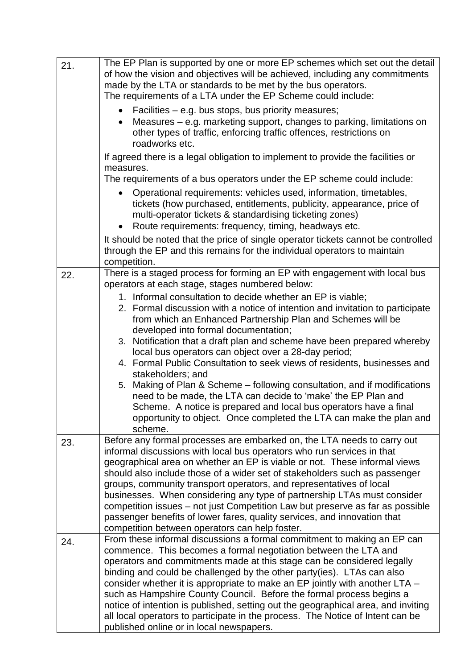| 21. | The EP Plan is supported by one or more EP schemes which set out the detail<br>of how the vision and objectives will be achieved, including any commitments<br>made by the LTA or standards to be met by the bus operators.<br>The requirements of a LTA under the EP Scheme could include:<br>Facilities – e.g. bus stops, bus priority measures;<br>$\bullet$<br>Measures – e.g. marketing support, changes to parking, limitations on<br>$\bullet$<br>other types of traffic, enforcing traffic offences, restrictions on<br>roadworks etc.<br>If agreed there is a legal obligation to implement to provide the facilities or<br>measures.<br>The requirements of a bus operators under the EP scheme could include:<br>Operational requirements: vehicles used, information, timetables,<br>$\bullet$<br>tickets (how purchased, entitlements, publicity, appearance, price of<br>multi-operator tickets & standardising ticketing zones) |
|-----|------------------------------------------------------------------------------------------------------------------------------------------------------------------------------------------------------------------------------------------------------------------------------------------------------------------------------------------------------------------------------------------------------------------------------------------------------------------------------------------------------------------------------------------------------------------------------------------------------------------------------------------------------------------------------------------------------------------------------------------------------------------------------------------------------------------------------------------------------------------------------------------------------------------------------------------------|
|     | Route requirements: frequency, timing, headways etc.<br>$\bullet$<br>It should be noted that the price of single operator tickets cannot be controlled<br>through the EP and this remains for the individual operators to maintain<br>competition.                                                                                                                                                                                                                                                                                                                                                                                                                                                                                                                                                                                                                                                                                             |
| 22. | There is a staged process for forming an EP with engagement with local bus<br>operators at each stage, stages numbered below:<br>1. Informal consultation to decide whether an EP is viable;<br>2. Formal discussion with a notice of intention and invitation to participate<br>from which an Enhanced Partnership Plan and Schemes will be<br>developed into formal documentation;<br>3. Notification that a draft plan and scheme have been prepared whereby<br>local bus operators can object over a 28-day period;<br>4. Formal Public Consultation to seek views of residents, businesses and<br>stakeholders; and<br>Making of Plan & Scheme - following consultation, and if modifications<br>5.<br>need to be made, the LTA can decide to 'make' the EP Plan and<br>Scheme. A notice is prepared and local bus operators have a final<br>opportunity to object. Once completed the LTA can make the plan and<br>scheme.               |
| 23. | Before any formal processes are embarked on, the LTA needs to carry out<br>informal discussions with local bus operators who run services in that<br>geographical area on whether an EP is viable or not. These informal views<br>should also include those of a wider set of stakeholders such as passenger<br>groups, community transport operators, and representatives of local<br>businesses. When considering any type of partnership LTAs must consider<br>competition issues – not just Competition Law but preserve as far as possible<br>passenger benefits of lower fares, quality services, and innovation that<br>competition between operators can help foster.                                                                                                                                                                                                                                                                  |
| 24. | From these informal discussions a formal commitment to making an EP can<br>commence. This becomes a formal negotiation between the LTA and<br>operators and commitments made at this stage can be considered legally<br>binding and could be challenged by the other party (ies). LTAs can also<br>consider whether it is appropriate to make an EP jointly with another LTA –<br>such as Hampshire County Council. Before the formal process begins a<br>notice of intention is published, setting out the geographical area, and inviting<br>all local operators to participate in the process. The Notice of Intent can be<br>published online or in local newspapers.                                                                                                                                                                                                                                                                      |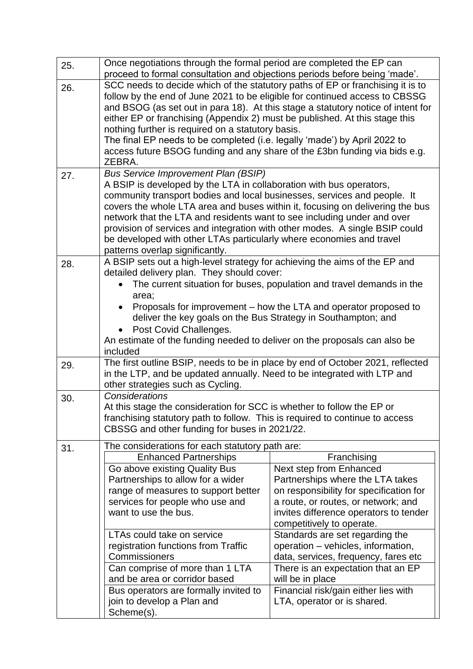| 25. | Once negotiations through the formal period are completed the EP can<br>proceed to formal consultation and objections periods before being 'made'.                                                                                                                                                                                                                                                                                                                                                                                                         |                                                                                |  |
|-----|------------------------------------------------------------------------------------------------------------------------------------------------------------------------------------------------------------------------------------------------------------------------------------------------------------------------------------------------------------------------------------------------------------------------------------------------------------------------------------------------------------------------------------------------------------|--------------------------------------------------------------------------------|--|
| 26. | SCC needs to decide which of the statutory paths of EP or franchising it is to<br>follow by the end of June 2021 to be eligible for continued access to CBSSG<br>and BSOG (as set out in para 18). At this stage a statutory notice of intent for<br>either EP or franchising (Appendix 2) must be published. At this stage this<br>nothing further is required on a statutory basis.<br>The final EP needs to be completed (i.e. legally 'made') by April 2022 to<br>access future BSOG funding and any share of the £3bn funding via bids e.g.<br>ZEBRA. |                                                                                |  |
| 27. | <b>Bus Service Improvement Plan (BSIP)</b>                                                                                                                                                                                                                                                                                                                                                                                                                                                                                                                 |                                                                                |  |
|     | A BSIP is developed by the LTA in collaboration with bus operators,<br>community transport bodies and local businesses, services and people. It                                                                                                                                                                                                                                                                                                                                                                                                            |                                                                                |  |
|     | covers the whole LTA area and buses within it, focusing on delivering the bus                                                                                                                                                                                                                                                                                                                                                                                                                                                                              |                                                                                |  |
|     | network that the LTA and residents want to see including under and over<br>provision of services and integration with other modes. A single BSIP could                                                                                                                                                                                                                                                                                                                                                                                                     |                                                                                |  |
|     | be developed with other LTAs particularly where economies and travel                                                                                                                                                                                                                                                                                                                                                                                                                                                                                       |                                                                                |  |
|     | patterns overlap significantly.                                                                                                                                                                                                                                                                                                                                                                                                                                                                                                                            |                                                                                |  |
| 28. | A BSIP sets out a high-level strategy for achieving the aims of the EP and                                                                                                                                                                                                                                                                                                                                                                                                                                                                                 |                                                                                |  |
|     | detailed delivery plan. They should cover:                                                                                                                                                                                                                                                                                                                                                                                                                                                                                                                 |                                                                                |  |
|     | area;                                                                                                                                                                                                                                                                                                                                                                                                                                                                                                                                                      | The current situation for buses, population and travel demands in the          |  |
|     | $\bullet$                                                                                                                                                                                                                                                                                                                                                                                                                                                                                                                                                  | Proposals for improvement – how the LTA and operator proposed to               |  |
|     | deliver the key goals on the Bus Strategy in Southampton; and                                                                                                                                                                                                                                                                                                                                                                                                                                                                                              |                                                                                |  |
|     | Post Covid Challenges.                                                                                                                                                                                                                                                                                                                                                                                                                                                                                                                                     |                                                                                |  |
|     | An estimate of the funding needed to deliver on the proposals can also be                                                                                                                                                                                                                                                                                                                                                                                                                                                                                  |                                                                                |  |
|     | included                                                                                                                                                                                                                                                                                                                                                                                                                                                                                                                                                   |                                                                                |  |
| 29. | The first outline BSIP, needs to be in place by end of October 2021, reflected<br>in the LTP, and be updated annually. Need to be integrated with LTP and<br>other strategies such as Cycling.                                                                                                                                                                                                                                                                                                                                                             |                                                                                |  |
| 30. | Considerations                                                                                                                                                                                                                                                                                                                                                                                                                                                                                                                                             |                                                                                |  |
|     | At this stage the consideration for SCC is whether to follow the EP or                                                                                                                                                                                                                                                                                                                                                                                                                                                                                     |                                                                                |  |
|     | franchising statutory path to follow. This is required to continue to access                                                                                                                                                                                                                                                                                                                                                                                                                                                                               |                                                                                |  |
|     | CBSSG and other funding for buses in 2021/22.                                                                                                                                                                                                                                                                                                                                                                                                                                                                                                              |                                                                                |  |
| 31. | The considerations for each statutory path are:                                                                                                                                                                                                                                                                                                                                                                                                                                                                                                            |                                                                                |  |
|     | <b>Enhanced Partnerships</b>                                                                                                                                                                                                                                                                                                                                                                                                                                                                                                                               | Franchising                                                                    |  |
|     | Go above existing Quality Bus                                                                                                                                                                                                                                                                                                                                                                                                                                                                                                                              | Next step from Enhanced                                                        |  |
|     | Partnerships to allow for a wider                                                                                                                                                                                                                                                                                                                                                                                                                                                                                                                          | Partnerships where the LTA takes                                               |  |
|     | range of measures to support better<br>services for people who use and                                                                                                                                                                                                                                                                                                                                                                                                                                                                                     | on responsibility for specification for<br>a route, or routes, or network; and |  |
|     | want to use the bus.                                                                                                                                                                                                                                                                                                                                                                                                                                                                                                                                       | invites difference operators to tender                                         |  |
|     |                                                                                                                                                                                                                                                                                                                                                                                                                                                                                                                                                            | competitively to operate.                                                      |  |
|     | LTAs could take on service                                                                                                                                                                                                                                                                                                                                                                                                                                                                                                                                 | Standards are set regarding the                                                |  |
|     | registration functions from Traffic                                                                                                                                                                                                                                                                                                                                                                                                                                                                                                                        | operation - vehicles, information,                                             |  |
|     | Commissioners                                                                                                                                                                                                                                                                                                                                                                                                                                                                                                                                              | data, services, frequency, fares etc                                           |  |
|     | Can comprise of more than 1 LTA<br>and be area or corridor based                                                                                                                                                                                                                                                                                                                                                                                                                                                                                           | There is an expectation that an EP                                             |  |
|     | Bus operators are formally invited to                                                                                                                                                                                                                                                                                                                                                                                                                                                                                                                      | will be in place<br>Financial risk/gain either lies with                       |  |
|     | join to develop a Plan and                                                                                                                                                                                                                                                                                                                                                                                                                                                                                                                                 | LTA, operator or is shared.                                                    |  |
|     | Scheme(s).                                                                                                                                                                                                                                                                                                                                                                                                                                                                                                                                                 |                                                                                |  |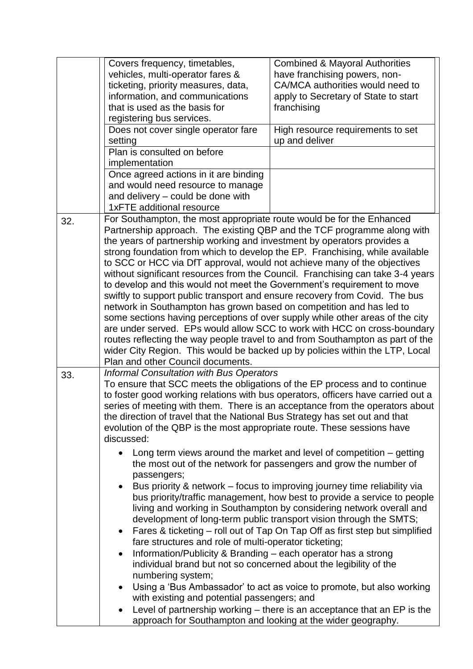|     | Covers frequency, timetables,                                                    | <b>Combined &amp; Mayoral Authorities</b>                                                                                                            |
|-----|----------------------------------------------------------------------------------|------------------------------------------------------------------------------------------------------------------------------------------------------|
|     | vehicles, multi-operator fares &                                                 | have franchising powers, non-                                                                                                                        |
|     | ticketing, priority measures, data,                                              | CA/MCA authorities would need to                                                                                                                     |
|     | information, and communications                                                  | apply to Secretary of State to start                                                                                                                 |
|     | that is used as the basis for                                                    | franchising                                                                                                                                          |
|     | registering bus services.                                                        |                                                                                                                                                      |
|     | Does not cover single operator fare                                              | High resource requirements to set                                                                                                                    |
|     | setting                                                                          | up and deliver                                                                                                                                       |
|     | Plan is consulted on before                                                      |                                                                                                                                                      |
|     | implementation                                                                   |                                                                                                                                                      |
|     | Once agreed actions in it are binding                                            |                                                                                                                                                      |
|     | and would need resource to manage                                                |                                                                                                                                                      |
|     | and delivery - could be done with                                                |                                                                                                                                                      |
|     | 1xFTE additional resource                                                        |                                                                                                                                                      |
|     |                                                                                  |                                                                                                                                                      |
| 32. | For Southampton, the most appropriate route would be for the Enhanced            |                                                                                                                                                      |
|     | Partnership approach. The existing QBP and the TCF programme along with          |                                                                                                                                                      |
|     | the years of partnership working and investment by operators provides a          |                                                                                                                                                      |
|     | strong foundation from which to develop the EP. Franchising, while available     |                                                                                                                                                      |
|     | to SCC or HCC via DfT approval, would not achieve many of the objectives         |                                                                                                                                                      |
|     | without significant resources from the Council. Franchising can take 3-4 years   |                                                                                                                                                      |
|     | to develop and this would not meet the Government's requirement to move          |                                                                                                                                                      |
|     | swiftly to support public transport and ensure recovery from Covid. The bus      |                                                                                                                                                      |
|     | network in Southampton has grown based on competition and has led to             |                                                                                                                                                      |
|     | some sections having perceptions of over supply while other areas of the city    |                                                                                                                                                      |
|     | are under served. EPs would allow SCC to work with HCC on cross-boundary         |                                                                                                                                                      |
|     | routes reflecting the way people travel to and from Southampton as part of the   |                                                                                                                                                      |
|     | wider City Region. This would be backed up by policies within the LTP, Local     |                                                                                                                                                      |
|     | Plan and other Council documents.                                                |                                                                                                                                                      |
| 33. | <b>Informal Consultation with Bus Operators</b>                                  |                                                                                                                                                      |
|     | To ensure that SCC meets the obligations of the EP process and to continue       |                                                                                                                                                      |
|     | to foster good working relations with bus operators, officers have carried out a |                                                                                                                                                      |
|     | series of meeting with them. There is an acceptance from the operators about     |                                                                                                                                                      |
|     | the direction of travel that the National Bus Strategy has set out and that      |                                                                                                                                                      |
|     | evolution of the QBP is the most appropriate route. These sessions have          |                                                                                                                                                      |
|     | discussed:                                                                       |                                                                                                                                                      |
|     |                                                                                  | Long term views around the market and level of competition $-$ getting                                                                               |
|     |                                                                                  | the most out of the network for passengers and grow the number of                                                                                    |
|     | passengers;                                                                      |                                                                                                                                                      |
|     |                                                                                  |                                                                                                                                                      |
|     | $\bullet$                                                                        | Bus priority & network – focus to improving journey time reliability via<br>bus priority/traffic management, how best to provide a service to people |
|     |                                                                                  | living and working in Southampton by considering network overall and                                                                                 |
|     |                                                                                  |                                                                                                                                                      |
|     |                                                                                  | development of long-term public transport vision through the SMTS;                                                                                   |
|     | $\bullet$                                                                        | Fares & ticketing – roll out of Tap On Tap Off as first step but simplified                                                                          |
|     | fare structures and role of multi-operator ticketing;                            |                                                                                                                                                      |
|     | Information/Publicity & Branding - each operator has a strong<br>$\bullet$       |                                                                                                                                                      |
|     | individual brand but not so concerned about the legibility of the                |                                                                                                                                                      |
|     | numbering system;                                                                |                                                                                                                                                      |
|     | $\bullet$                                                                        | Using a 'Bus Ambassador' to act as voice to promote, but also working                                                                                |
|     | with existing and potential passengers; and                                      |                                                                                                                                                      |
|     | $\bullet$                                                                        | Level of partnership working – there is an acceptance that an EP is the                                                                              |
|     | approach for Southampton and looking at the wider geography.                     |                                                                                                                                                      |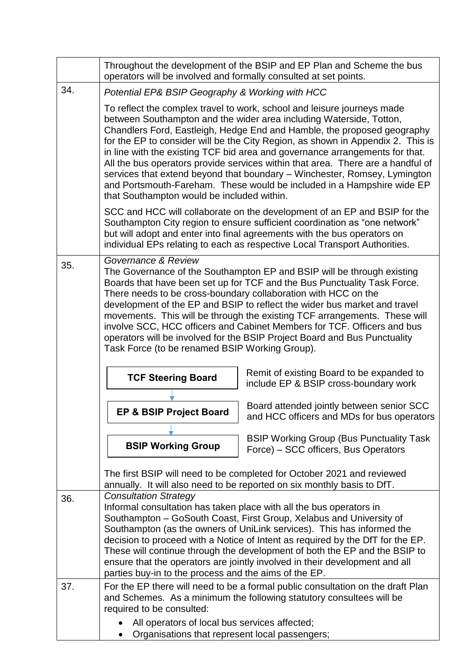|     | Throughout the development of the BSIP and EP Plan and Scheme the bus<br>operators will be involved and formally consulted at set points.                                                                                                                                                                                                                                                                                                                                                                                                                                                                                                                                            |                                                                                                                                                                                                                                                                                                                                                                                                                                                                     |  |
|-----|--------------------------------------------------------------------------------------------------------------------------------------------------------------------------------------------------------------------------------------------------------------------------------------------------------------------------------------------------------------------------------------------------------------------------------------------------------------------------------------------------------------------------------------------------------------------------------------------------------------------------------------------------------------------------------------|---------------------------------------------------------------------------------------------------------------------------------------------------------------------------------------------------------------------------------------------------------------------------------------------------------------------------------------------------------------------------------------------------------------------------------------------------------------------|--|
| 34. | Potential EP& BSIP Geography & Working with HCC                                                                                                                                                                                                                                                                                                                                                                                                                                                                                                                                                                                                                                      |                                                                                                                                                                                                                                                                                                                                                                                                                                                                     |  |
|     | To reflect the complex travel to work, school and leisure journeys made<br>between Southampton and the wider area including Waterside, Totton,<br>Chandlers Ford, Eastleigh, Hedge End and Hamble, the proposed geography<br>for the EP to consider will be the City Region, as shown in Appendix 2. This is<br>in line with the existing TCF bid area and governance arrangements for that.<br>All the bus operators provide services within that area. There are a handful of<br>services that extend beyond that boundary - Winchester, Romsey, Lymington<br>and Portsmouth-Fareham. These would be included in a Hampshire wide EP<br>that Southampton would be included within. |                                                                                                                                                                                                                                                                                                                                                                                                                                                                     |  |
|     |                                                                                                                                                                                                                                                                                                                                                                                                                                                                                                                                                                                                                                                                                      | SCC and HCC will collaborate on the development of an EP and BSIP for the<br>Southampton City region to ensure sufficient coordination as "one network"<br>but will adopt and enter into final agreements with the bus operators on<br>individual EPs relating to each as respective Local Transport Authorities.                                                                                                                                                   |  |
| 35. | Governance & Review<br>The Governance of the Southampton EP and BSIP will be through existing<br>Boards that have been set up for TCF and the Bus Punctuality Task Force.<br>There needs to be cross-boundary collaboration with HCC on the<br>development of the EP and BSIP to reflect the wider bus market and travel<br>movements. This will be through the existing TCF arrangements. These will<br>involve SCC, HCC officers and Cabinet Members for TCF. Officers and bus<br>operators will be involved for the BSIP Project Board and Bus Punctuality<br>Task Force (to be renamed BSIP Working Group).                                                                      |                                                                                                                                                                                                                                                                                                                                                                                                                                                                     |  |
|     | Remit of existing Board to be expanded to<br><b>TCF Steering Board</b><br>include EP & BSIP cross-boundary work                                                                                                                                                                                                                                                                                                                                                                                                                                                                                                                                                                      |                                                                                                                                                                                                                                                                                                                                                                                                                                                                     |  |
|     | <b>EP &amp; BSIP Project Board</b>                                                                                                                                                                                                                                                                                                                                                                                                                                                                                                                                                                                                                                                   | Board attended jointly between senior SCC<br>and HCC officers and MDs for bus operators                                                                                                                                                                                                                                                                                                                                                                             |  |
|     | <b>BSIP Working Group</b>                                                                                                                                                                                                                                                                                                                                                                                                                                                                                                                                                                                                                                                            | <b>BSIP Working Group (Bus Punctuality Task)</b><br>Force) – SCC officers, Bus Operators                                                                                                                                                                                                                                                                                                                                                                            |  |
|     |                                                                                                                                                                                                                                                                                                                                                                                                                                                                                                                                                                                                                                                                                      | The first BSIP will need to be completed for October 2021 and reviewed<br>annually. It will also need to be reported on six monthly basis to DfT.                                                                                                                                                                                                                                                                                                                   |  |
| 36. | <b>Consultation Strategy</b><br>parties buy-in to the process and the aims of the EP.                                                                                                                                                                                                                                                                                                                                                                                                                                                                                                                                                                                                | Informal consultation has taken place with all the bus operators in<br>Southampton - GoSouth Coast, First Group, Xelabus and University of<br>Southampton (as the owners of UniLink services). This has informed the<br>decision to proceed with a Notice of Intent as required by the DfT for the EP.<br>These will continue through the development of both the EP and the BSIP to<br>ensure that the operators are jointly involved in their development and all |  |
| 37. | required to be consulted:                                                                                                                                                                                                                                                                                                                                                                                                                                                                                                                                                                                                                                                            | For the EP there will need to be a formal public consultation on the draft Plan<br>and Schemes. As a minimum the following statutory consultees will be                                                                                                                                                                                                                                                                                                             |  |
|     | All operators of local bus services affected;<br>Organisations that represent local passengers;                                                                                                                                                                                                                                                                                                                                                                                                                                                                                                                                                                                      |                                                                                                                                                                                                                                                                                                                                                                                                                                                                     |  |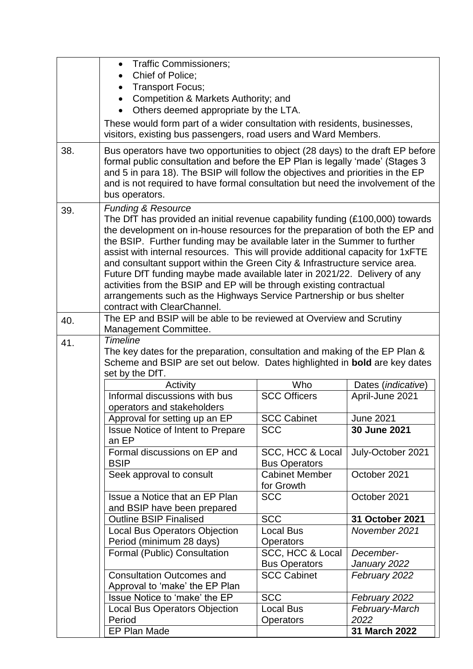|     | <b>Traffic Commissioners:</b><br>$\bullet$                                                                                                                                                                                                                            |                                          |                             |  |
|-----|-----------------------------------------------------------------------------------------------------------------------------------------------------------------------------------------------------------------------------------------------------------------------|------------------------------------------|-----------------------------|--|
|     | Chief of Police;<br>$\bullet$                                                                                                                                                                                                                                         |                                          |                             |  |
|     | <b>Transport Focus;</b><br>$\bullet$                                                                                                                                                                                                                                  |                                          |                             |  |
|     | Competition & Markets Authority; and<br>$\bullet$                                                                                                                                                                                                                     |                                          |                             |  |
|     | Others deemed appropriate by the LTA.                                                                                                                                                                                                                                 |                                          |                             |  |
|     | These would form part of a wider consultation with residents, businesses,<br>visitors, existing bus passengers, road users and Ward Members.                                                                                                                          |                                          |                             |  |
| 38. | Bus operators have two opportunities to object (28 days) to the draft EP before                                                                                                                                                                                       |                                          |                             |  |
|     | formal public consultation and before the EP Plan is legally 'made' (Stages 3<br>and 5 in para 18). The BSIP will follow the objectives and priorities in the EP<br>and is not required to have formal consultation but need the involvement of the<br>bus operators. |                                          |                             |  |
| 39. | <b>Funding &amp; Resource</b>                                                                                                                                                                                                                                         |                                          |                             |  |
|     | The DfT has provided an initial revenue capability funding (£100,000) towards<br>the development on in-house resources for the preparation of both the EP and                                                                                                         |                                          |                             |  |
|     | the BSIP. Further funding may be available later in the Summer to further                                                                                                                                                                                             |                                          |                             |  |
|     | assist with internal resources. This will provide additional capacity for 1xFTE                                                                                                                                                                                       |                                          |                             |  |
|     | and consultant support within the Green City & Infrastructure service area.                                                                                                                                                                                           |                                          |                             |  |
|     | Future DfT funding maybe made available later in 2021/22. Delivery of any                                                                                                                                                                                             |                                          |                             |  |
|     | activities from the BSIP and EP will be through existing contractual                                                                                                                                                                                                  |                                          |                             |  |
|     | arrangements such as the Highways Service Partnership or bus shelter                                                                                                                                                                                                  |                                          |                             |  |
|     | contract with ClearChannel.                                                                                                                                                                                                                                           |                                          |                             |  |
| 40. | The EP and BSIP will be able to be reviewed at Overview and Scrutiny                                                                                                                                                                                                  |                                          |                             |  |
|     | Management Committee.<br><b>Timeline</b>                                                                                                                                                                                                                              |                                          |                             |  |
| 41. | The key dates for the preparation, consultation and making of the EP Plan &                                                                                                                                                                                           |                                          |                             |  |
|     | Scheme and BSIP are set out below. Dates highlighted in bold are key dates                                                                                                                                                                                            |                                          |                             |  |
|     | set by the DfT.                                                                                                                                                                                                                                                       |                                          |                             |  |
|     | Activity                                                                                                                                                                                                                                                              | Who                                      | Dates ( <i>indicative</i> ) |  |
|     | Informal discussions with bus                                                                                                                                                                                                                                         | <b>SCC Officers</b>                      | April-June 2021             |  |
|     | operators and stakeholders                                                                                                                                                                                                                                            |                                          |                             |  |
|     | Approval for setting up an EP                                                                                                                                                                                                                                         | <b>SCC Cabinet</b>                       | <b>June 2021</b>            |  |
|     | <b>Issue Notice of Intent to Prepare</b><br>an EP                                                                                                                                                                                                                     | <b>SCC</b>                               | 30 June 2021                |  |
|     | Formal discussions on EP and<br><b>BSIP</b>                                                                                                                                                                                                                           | SCC, HCC & Local<br><b>Bus Operators</b> | July-October 2021           |  |
|     | Seek approval to consult                                                                                                                                                                                                                                              | <b>Cabinet Member</b><br>for Growth      | October 2021                |  |
|     | Issue a Notice that an EP Plan<br>and BSIP have been prepared                                                                                                                                                                                                         | <b>SCC</b>                               | October 2021                |  |
|     | <b>Outline BSIP Finalised</b>                                                                                                                                                                                                                                         | <b>SCC</b>                               | 31 October 2021             |  |
|     | <b>Local Bus Operators Objection</b>                                                                                                                                                                                                                                  | <b>Local Bus</b>                         | November 2021               |  |
|     | Period (minimum 28 days)                                                                                                                                                                                                                                              | <b>Operators</b>                         |                             |  |
|     | Formal (Public) Consultation                                                                                                                                                                                                                                          | SCC, HCC & Local                         | December-                   |  |
|     |                                                                                                                                                                                                                                                                       | <b>Bus Operators</b>                     | January 2022                |  |
|     | <b>Consultation Outcomes and</b>                                                                                                                                                                                                                                      | <b>SCC Cabinet</b>                       | February 2022               |  |
|     | Approval to 'make' the EP Plan                                                                                                                                                                                                                                        |                                          |                             |  |
|     | Issue Notice to 'make' the EP                                                                                                                                                                                                                                         | <b>SCC</b>                               | February 2022               |  |
|     | <b>Local Bus Operators Objection</b>                                                                                                                                                                                                                                  | Local Bus                                | February-March              |  |
|     | Period                                                                                                                                                                                                                                                                | <b>Operators</b>                         | 2022                        |  |
|     | EP Plan Made                                                                                                                                                                                                                                                          |                                          | 31 March 2022               |  |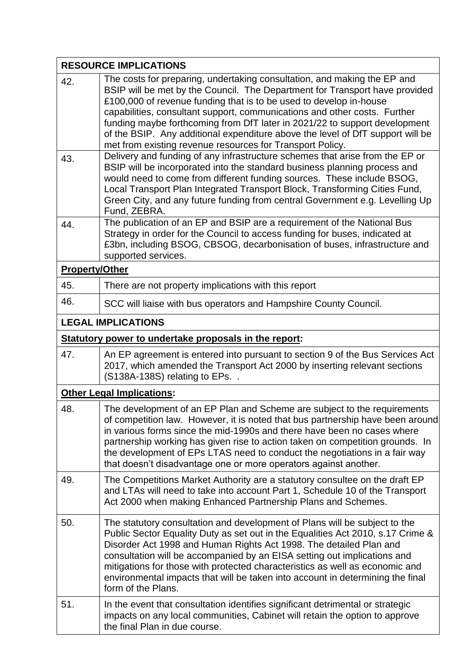|                       | <b>RESOURCE IMPLICATIONS</b>                                                                                                                                                                                                                                                                                                                                                                                                                                                                                                            |
|-----------------------|-----------------------------------------------------------------------------------------------------------------------------------------------------------------------------------------------------------------------------------------------------------------------------------------------------------------------------------------------------------------------------------------------------------------------------------------------------------------------------------------------------------------------------------------|
| 42.                   | The costs for preparing, undertaking consultation, and making the EP and<br>BSIP will be met by the Council. The Department for Transport have provided<br>£100,000 of revenue funding that is to be used to develop in-house<br>capabilities, consultant support, communications and other costs. Further<br>funding maybe forthcoming from DfT later in 2021/22 to support development<br>of the BSIP. Any additional expenditure above the level of DfT support will be<br>met from existing revenue resources for Transport Policy. |
| 43.                   | Delivery and funding of any infrastructure schemes that arise from the EP or<br>BSIP will be incorporated into the standard business planning process and<br>would need to come from different funding sources. These include BSOG,<br>Local Transport Plan Integrated Transport Block, Transforming Cities Fund,<br>Green City, and any future funding from central Government e.g. Levelling Up<br>Fund, ZEBRA.                                                                                                                       |
| 44.                   | The publication of an EP and BSIP are a requirement of the National Bus<br>Strategy in order for the Council to access funding for buses, indicated at<br>£3bn, including BSOG, CBSOG, decarbonisation of buses, infrastructure and<br>supported services.                                                                                                                                                                                                                                                                              |
| <b>Property/Other</b> |                                                                                                                                                                                                                                                                                                                                                                                                                                                                                                                                         |
| 45.                   | There are not property implications with this report                                                                                                                                                                                                                                                                                                                                                                                                                                                                                    |
| 46.                   | SCC will liaise with bus operators and Hampshire County Council.                                                                                                                                                                                                                                                                                                                                                                                                                                                                        |
|                       | <b>LEGAL IMPLICATIONS</b>                                                                                                                                                                                                                                                                                                                                                                                                                                                                                                               |
|                       | Statutory power to undertake proposals in the report:                                                                                                                                                                                                                                                                                                                                                                                                                                                                                   |
| 47.                   | An EP agreement is entered into pursuant to section 9 of the Bus Services Act<br>2017, which amended the Transport Act 2000 by inserting relevant sections<br>(S138A-138S) relating to EPs. .                                                                                                                                                                                                                                                                                                                                           |
|                       | <b>Other Legal Implications:</b>                                                                                                                                                                                                                                                                                                                                                                                                                                                                                                        |
| 48.                   | The development of an EP Plan and Scheme are subject to the requirements<br>of competition law. However, it is noted that bus partnership have been around<br>in various forms since the mid-1990s and there have been no cases where<br>partnership working has given rise to action taken on competition grounds. In<br>the development of EPs LTAS need to conduct the negotiations in a fair way<br>that doesn't disadvantage one or more operators against another.                                                                |
| 49.                   | The Competitions Market Authority are a statutory consultee on the draft EP<br>and LTAs will need to take into account Part 1, Schedule 10 of the Transport<br>Act 2000 when making Enhanced Partnership Plans and Schemes.                                                                                                                                                                                                                                                                                                             |
| 50.                   | The statutory consultation and development of Plans will be subject to the<br>Public Sector Equality Duty as set out in the Equalities Act 2010, s.17 Crime &<br>Disorder Act 1998 and Human Rights Act 1998. The detailed Plan and<br>consultation will be accompanied by an EISA setting out implications and<br>mitigations for those with protected characteristics as well as economic and<br>environmental impacts that will be taken into account in determining the final<br>form of the Plans.                                 |
| 51.                   | In the event that consultation identifies significant detrimental or strategic<br>impacts on any local communities, Cabinet will retain the option to approve<br>the final Plan in due course.                                                                                                                                                                                                                                                                                                                                          |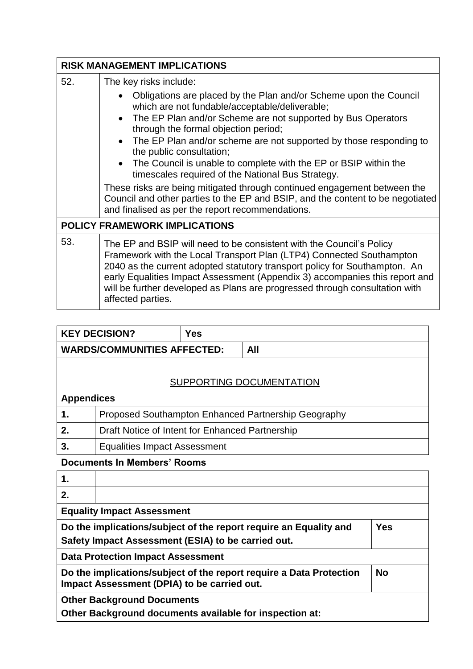|     | <b>RISK MANAGEMENT IMPLICATIONS</b>                                                                                                                                                                                                                                                                                                                                                                                                                          |  |  |
|-----|--------------------------------------------------------------------------------------------------------------------------------------------------------------------------------------------------------------------------------------------------------------------------------------------------------------------------------------------------------------------------------------------------------------------------------------------------------------|--|--|
| 52. | The key risks include:                                                                                                                                                                                                                                                                                                                                                                                                                                       |  |  |
|     | Obligations are placed by the Plan and/or Scheme upon the Council<br>which are not fundable/acceptable/deliverable;<br>• The EP Plan and/or Scheme are not supported by Bus Operators<br>through the formal objection period;<br>• The EP Plan and/or scheme are not supported by those responding to<br>the public consultation;<br>• The Council is unable to complete with the EP or BSIP within the<br>timescales required of the National Bus Strategy. |  |  |
|     | These risks are being mitigated through continued engagement between the<br>Council and other parties to the EP and BSIP, and the content to be negotiated<br>and finalised as per the report recommendations.                                                                                                                                                                                                                                               |  |  |
|     | <b>POLICY FRAMEWORK IMPLICATIONS</b>                                                                                                                                                                                                                                                                                                                                                                                                                         |  |  |
| 53. | The EP and BSIP will need to be consistent with the Council's Policy<br>Framework with the Local Transport Plan (LTP4) Connected Southampton<br>2040 as the current adopted statutory transport policy for Southampton. An<br>early Equalities Impact Assessment (Appendix 3) accompanies this report and<br>will be further developed as Plans are progressed through consultation with<br>affected parties.                                                |  |  |

|                                    | <b>KEY DECISION?</b>                                | <b>Yes</b> |     |  |  |  |
|------------------------------------|-----------------------------------------------------|------------|-----|--|--|--|
| <b>WARDS/COMMUNITIES AFFECTED:</b> |                                                     |            | All |  |  |  |
|                                    |                                                     |            |     |  |  |  |
| SUPPORTING DOCUMENTATION           |                                                     |            |     |  |  |  |
| <b>Appendices</b>                  |                                                     |            |     |  |  |  |
| 1.                                 | Proposed Southampton Enhanced Partnership Geography |            |     |  |  |  |
| 2.                                 | Draft Notice of Intent for Enhanced Partnership     |            |     |  |  |  |
| 3.                                 | <b>Equalities Impact Assessment</b>                 |            |     |  |  |  |

## **Documents In Members' Rooms**

| 1.                                                                                                                                    |  |  |  |  |  |
|---------------------------------------------------------------------------------------------------------------------------------------|--|--|--|--|--|
| 2.                                                                                                                                    |  |  |  |  |  |
| <b>Equality Impact Assessment</b>                                                                                                     |  |  |  |  |  |
| Do the implications/subject of the report require an Equality and<br><b>Yes</b><br>Safety Impact Assessment (ESIA) to be carried out. |  |  |  |  |  |
| <b>Data Protection Impact Assessment</b>                                                                                              |  |  |  |  |  |
| <b>No</b><br>Do the implications/subject of the report require a Data Protection<br>Impact Assessment (DPIA) to be carried out.       |  |  |  |  |  |
| <b>Other Background Documents</b><br>Other Background documents available for inspection at:                                          |  |  |  |  |  |